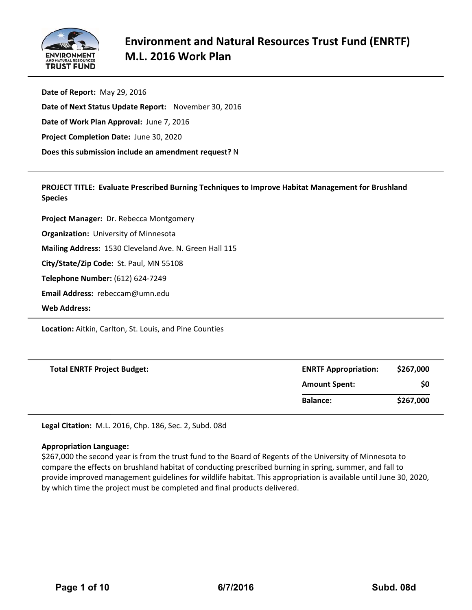

**Date of Report:** May 29, 2016 **Date of Next Status Update Report:** November 30, 2016 **Date of Work Plan Approval:** June 7, 2016 **Project Completion Date:** June 30, 2020 **Does this submission include an amendment request?** N

**PROJECT TITLE: Evaluate Prescribed Burning Techniques to Improve Habitat Management for Brushland Species**

**Project Manager:** Dr. Rebecca Montgomery

**Organization:** University of Minnesota

**Mailing Address:** 1530 Cleveland Ave. N. Green Hall 115

**City/State/Zip Code:** St. Paul, MN 55108

**Telephone Number:** (612) 624‐7249

**Email Address:** rebeccam@umn.edu

**Web Address:**

**Location:** Aitkin, Carlton, St. Louis, and Pine Counties

| <b>Total ENRTF Project Budget:</b> | <b>ENRTF Appropriation:</b> | \$267,000 |  |  |
|------------------------------------|-----------------------------|-----------|--|--|
|                                    | <b>Amount Spent:</b>        | \$0       |  |  |
|                                    | <b>Balance:</b>             | \$267,000 |  |  |

**Legal Citation:** M.L. 2016, Chp. 186, Sec. 2, Subd. 08d

#### **Appropriation Language:**

\$267,000 the second year is from the trust fund to the Board of Regents of the University of Minnesota to compare the effects on brushland habitat of conducting prescribed burning in spring, summer, and fall to provide improved management guidelines for wildlife habitat. This appropriation is available until June 30, 2020, by which time the project must be completed and final products delivered.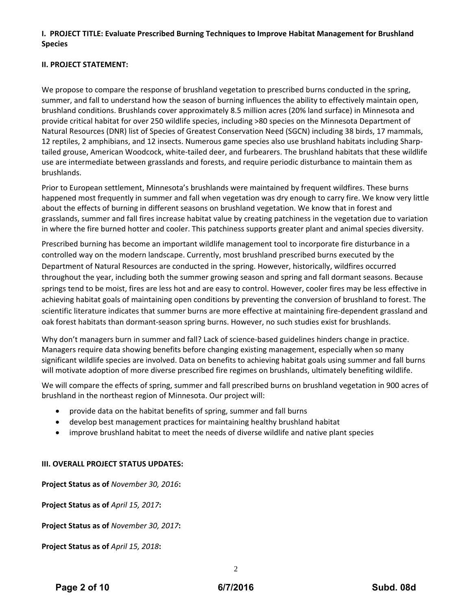# **I. PROJECT TITLE: Evaluate Prescribed Burning Techniques to Improve Habitat Management for Brushland Species**

### **II. PROJECT STATEMENT:**

We propose to compare the response of brushland vegetation to prescribed burns conducted in the spring, summer, and fall to understand how the season of burning influences the ability to effectively maintain open, brushland conditions. Brushlands cover approximately 8.5 million acres (20% land surface) in Minnesota and provide critical habitat for over 250 wildlife species, including >80 species on the Minnesota Department of Natural Resources (DNR) list of Species of Greatest Conservation Need (SGCN) including 38 birds, 17 mammals, 12 reptiles, 2 amphibians, and 12 insects. Numerous game species also use brushland habitats including Sharp‐ tailed grouse, American Woodcock, white‐tailed deer, and furbearers. The brushland habitats that these wildlife use are intermediate between grasslands and forests, and require periodic disturbance to maintain them as brushlands.

Prior to European settlement, Minnesota's brushlands were maintained by frequent wildfires. These burns happened most frequently in summer and fall when vegetation was dry enough to carry fire. We know very little about the effects of burning in different seasons on brushland vegetation. We know that in forest and grasslands, summer and fall fires increase habitat value by creating patchiness in the vegetation due to variation in where the fire burned hotter and cooler. This patchiness supports greater plant and animal species diversity.

Prescribed burning has become an important wildlife management tool to incorporate fire disturbance in a controlled way on the modern landscape. Currently, most brushland prescribed burns executed by the Department of Natural Resources are conducted in the spring. However, historically, wildfires occurred throughout the year, including both the summer growing season and spring and fall dormant seasons. Because springs tend to be moist, fires are less hot and are easy to control. However, cooler fires may be less effective in achieving habitat goals of maintaining open conditions by preventing the conversion of brushland to forest. The scientific literature indicates that summer burns are more effective at maintaining fire‐dependent grassland and oak forest habitats than dormant‐season spring burns. However, no such studies exist for brushlands.

Why don't managers burn in summer and fall? Lack of science-based guidelines hinders change in practice. Managers require data showing benefits before changing existing management, especially when so many significant wildlife species are involved. Data on benefits to achieving habitat goals using summer and fall burns will motivate adoption of more diverse prescribed fire regimes on brushlands, ultimately benefiting wildlife.

We will compare the effects of spring, summer and fall prescribed burns on brushland vegetation in 900 acres of brushland in the northeast region of Minnesota. Our project will:

- provide data on the habitat benefits of spring, summer and fall burns
- develop best management practices for maintaining healthy brushland habitat
- improve brushland habitat to meet the needs of diverse wildlife and native plant species

### **III. OVERALL PROJECT STATUS UPDATES:**

**Project Status as of** *November 30, 2016***:**

**Project Status as of** *April 15, 2017***:**

**Project Status as of** *November 30, 2017***:**

**Project Status as of** *April 15, 2018***:**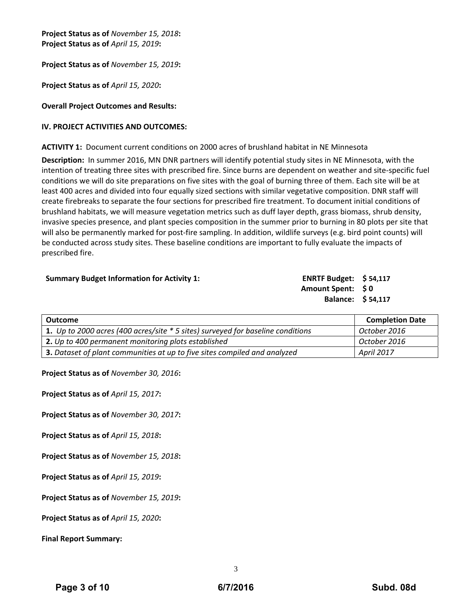**Project Status as of** *November 15, 2018***: Project Status as of** *April 15, 2019***:**

**Project Status as of** *November 15, 2019***:**

**Project Status as of** *April 15, 2020***:**

#### **Overall Project Outcomes and Results:**

#### **IV. PROJECT ACTIVITIES AND OUTCOMES:**

**ACTIVITY 1:** Document current conditions on 2000 acres of brushland habitat in NE Minnesota

**Description:** In summer 2016, MN DNR partners will identify potential study sites in NE Minnesota, with the intention of treating three sites with prescribed fire. Since burns are dependent on weather and site‐specific fuel conditions we will do site preparations on five sites with the goal of burning three of them. Each site will be at least 400 acres and divided into four equally sized sections with similar vegetative composition. DNR staff will create firebreaks to separate the four sections for prescribed fire treatment. To document initial conditions of brushland habitats, we will measure vegetation metrics such as duff layer depth, grass biomass, shrub density, invasive species presence, and plant species composition in the summer prior to burning in 80 plots per site that will also be permanently marked for post-fire sampling. In addition, wildlife surveys (e.g. bird point counts) will be conducted across study sites. These baseline conditions are important to fully evaluate the impacts of prescribed fire.

**Summary Budget Information for Activity 1: ENRTF Budget: \$ 54,117 Amount Spent: \$ 0 Balance: \$ 54,117**

| Outcome                                                                         | <b>Completion Date</b> |
|---------------------------------------------------------------------------------|------------------------|
| 1. Up to 2000 acres (400 acres/site * 5 sites) surveyed for baseline conditions | October 2016           |
| 2. Up to 400 permanent monitoring plots established                             | October 2016           |
| 3. Dataset of plant communities at up to five sites compiled and analyzed       | <b>April 2017</b>      |

**Project Status as of** *November 30, 2016***:**

**Project Status as of** *April 15, 2017***:**

**Project Status as of** *November 30, 2017***:**

**Project Status as of** *April 15, 2018***:**

**Project Status as of** *November 15, 2018***:**

**Project Status as of** *April 15, 2019***:**

**Project Status as of** *November 15, 2019***:**

**Project Status as of** *April 15, 2020***:**

**Final Report Summary:**

3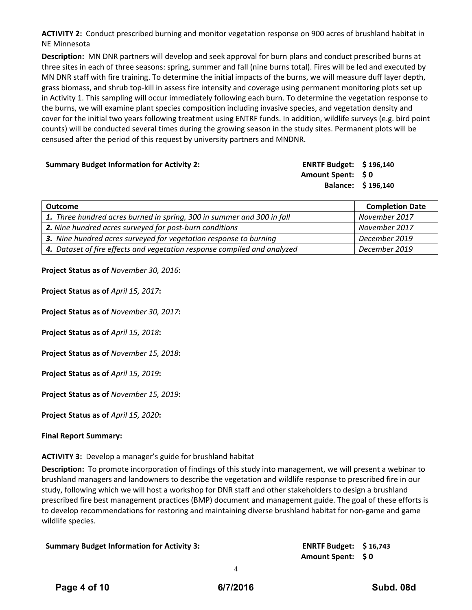**ACTIVITY 2:** Conduct prescribed burning and monitor vegetation response on 900 acres of brushland habitat in NE Minnesota

**Description:** MN DNR partners will develop and seek approval for burn plans and conduct prescribed burns at three sites in each of three seasons: spring, summer and fall (nine burns total). Fires will be led and executed by MN DNR staff with fire training. To determine the initial impacts of the burns, we will measure duff layer depth, grass biomass, and shrub top‐kill in assess fire intensity and coverage using permanent monitoring plots set up in Activity 1. This sampling will occur immediately following each burn. To determine the vegetation response to the burns, we will examine plant species composition including invasive species, and vegetation density and cover for the initial two years following treatment using ENTRF funds. In addition, wildlife surveys (e.g. bird point counts) will be conducted several times during the growing season in the study sites. Permanent plots will be censused after the period of this request by university partners and MNDNR.

| <b>Summary Budget Information for Activity 2:</b> | ENRTF Budget: $$196,140$ |  |
|---------------------------------------------------|--------------------------|--|
|                                                   | Amount Spent: \$0        |  |
|                                                   | Balance: \$196,140       |  |
|                                                   |                          |  |

| Outcome                                                                  | <b>Completion Date</b> |
|--------------------------------------------------------------------------|------------------------|
| 1. Three hundred acres burned in spring, 300 in summer and 300 in fall   | November 2017          |
| 2. Nine hundred acres surveyed for post-burn conditions                  | November 2017          |
| 3. Nine hundred acres surveyed for vegetation response to burning        | December 2019          |
| 4. Dataset of fire effects and vegetation response compiled and analyzed | December 2019          |

**Project Status as of** *November 30, 2016***:**

**Project Status as of** *April 15, 2017***:**

**Project Status as of** *November 30, 2017***:**

**Project Status as of** *April 15, 2018***:**

**Project Status as of** *November 15, 2018***:**

**Project Status as of** *April 15, 2019***:**

**Project Status as of** *November 15, 2019***:**

**Project Status as of** *April 15, 2020***:**

#### **Final Report Summary:**

**ACTIVITY 3:** Develop a manager's guide for brushland habitat

**Description:** To promote incorporation of findings of this study into management, we will present a webinar to brushland managers and landowners to describe the vegetation and wildlife response to prescribed fire in our study, following which we will host a workshop for DNR staff and other stakeholders to design a brushland prescribed fire best management practices (BMP) document and management guide. The goal of these efforts is to develop recommendations for restoring and maintaining diverse brushland habitat for non‐game and game wildlife species.

|  |  |  | <b>Summary Budget Information for Activity 3:</b> |
|--|--|--|---------------------------------------------------|
|--|--|--|---------------------------------------------------|

**Summary Budget Information for Activity 3: ENRTF Budget: \$ 16,743 Amount Spent: \$ 0**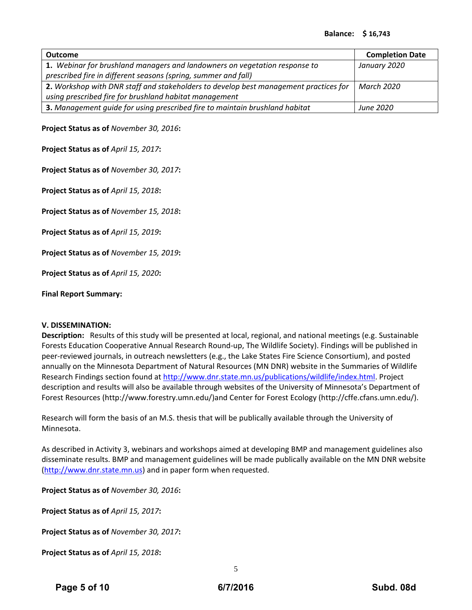| <b>Outcome</b>                                                                       | <b>Completion Date</b> |
|--------------------------------------------------------------------------------------|------------------------|
| 1. Webinar for brushland managers and landowners on vegetation response to           | January 2020           |
| prescribed fire in different seasons (spring, summer and fall)                       |                        |
| 2. Workshop with DNR staff and stakeholders to develop best management practices for | March 2020             |
| using prescribed fire for brushland habitat management                               |                        |
| 3. Management guide for using prescribed fire to maintain brushland habitat          | June 2020              |

**Project Status as of** *November 30, 2016***:**

**Project Status as of** *April 15, 2017***:**

**Project Status as of** *November 30, 2017***:**

**Project Status as of** *April 15, 2018***:**

**Project Status as of** *November 15, 2018***:**

**Project Status as of** *April 15, 2019***:**

**Project Status as of** *November 15, 2019***:**

**Project Status as of** *April 15, 2020***:**

**Final Report Summary:**

#### **V. DISSEMINATION:**

**Description:** Results of this study will be presented at local, regional, and national meetings (e.g. Sustainable Forests Education Cooperative Annual Research Round‐up, The Wildlife Society). Findings will be published in peer-reviewed journals, in outreach newsletters (e.g., the Lake States Fire Science Consortium), and posted annually on the Minnesota Department of Natural Resources (MN DNR) website in the Summaries of Wildlife Research Findings section found at http://www.dnr.state.mn.us/publications/wildlife/index.html. Project description and results will also be available through websites of the University of Minnesota's Department of Forest Resources (http://www.forestry.umn.edu/)and Center for Forest Ecology (http://cffe.cfans.umn.edu/).

Research will form the basis of an M.S. thesis that will be publically available through the University of Minnesota.

As described in Activity 3, webinars and workshops aimed at developing BMP and management guidelines also disseminate results. BMP and management guidelines will be made publically available on the MN DNR website (http://www.dnr.state.mn.us) and in paper form when requested.

**Project Status as of** *November 30, 2016***:**

**Project Status as of** *April 15, 2017***:**

**Project Status as of** *November 30, 2017***:**

**Project Status as of** *April 15, 2018***:**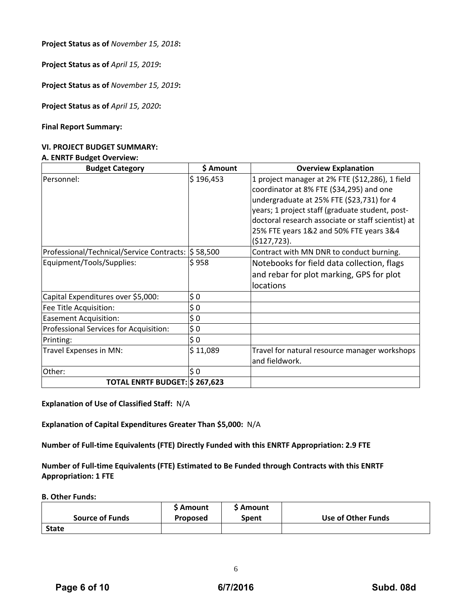**Project Status as of** *November 15, 2018***:**

**Project Status as of** *April 15, 2019***:**

**Project Status as of** *November 15, 2019***:**

**Project Status as of** *April 15, 2020***:**

#### **Final Report Summary:**

#### **VI. PROJECT BUDGET SUMMARY:**

#### **A. ENRTF Budget Overview:**

| <b>Budget Category</b>                             | \$ Amount      | <b>Overview Explanation</b>                                                                                                                                                                                                                                                                                  |  |  |  |  |  |
|----------------------------------------------------|----------------|--------------------------------------------------------------------------------------------------------------------------------------------------------------------------------------------------------------------------------------------------------------------------------------------------------------|--|--|--|--|--|
| Personnel:                                         | \$196,453      | 1 project manager at 2% FTE (\$12,286), 1 field<br>coordinator at 8% FTE (\$34,295) and one<br>undergraduate at 25% FTE (\$23,731) for 4<br>years; 1 project staff (graduate student, post-<br>doctoral research associate or staff scientist) at<br>25% FTE years 1&2 and 50% FTE years 3&4<br>(5127, 723). |  |  |  |  |  |
| Professional/Technical/Service Contracts: S 58,500 |                | Contract with MN DNR to conduct burning.                                                                                                                                                                                                                                                                     |  |  |  |  |  |
| Equipment/Tools/Supplies:                          | \$958          | Notebooks for field data collection, flags<br>and rebar for plot marking, GPS for plot<br>locations                                                                                                                                                                                                          |  |  |  |  |  |
| Capital Expenditures over \$5,000:                 | \$0            |                                                                                                                                                                                                                                                                                                              |  |  |  |  |  |
| Fee Title Acquisition:                             | $\frac{1}{2}0$ |                                                                                                                                                                                                                                                                                                              |  |  |  |  |  |
| <b>Easement Acquisition:</b>                       | $\frac{1}{2}0$ |                                                                                                                                                                                                                                                                                                              |  |  |  |  |  |
| Professional Services for Acquisition:             | \$0            |                                                                                                                                                                                                                                                                                                              |  |  |  |  |  |
| Printing:                                          | \$0            |                                                                                                                                                                                                                                                                                                              |  |  |  |  |  |
| Travel Expenses in MN:                             | \$11,089       | Travel for natural resource manager workshops<br>and fieldwork.                                                                                                                                                                                                                                              |  |  |  |  |  |
| Other:                                             | \$0            |                                                                                                                                                                                                                                                                                                              |  |  |  |  |  |
| TOTAL ENRTF BUDGET: \$ 267,623                     |                |                                                                                                                                                                                                                                                                                                              |  |  |  |  |  |

**Explanation of Use of Classified Staff:** N/A

**Explanation of Capital Expenditures Greater Than \$5,000:** N/A

**Number of Full‐time Equivalents (FTE) Directly Funded with this ENRTF Appropriation: 2.9 FTE**

**Number of Full‐time Equivalents (FTE) Estimated to Be Funded through Contracts with this ENRTF Appropriation: 1 FTE**

**B. Other Funds:**

|                        | <b>S</b> Amount | <b>S</b> Amount |                    |
|------------------------|-----------------|-----------------|--------------------|
| <b>Source of Funds</b> | <b>Proposed</b> | Spent           | Use of Other Funds |
| <b>State</b>           |                 |                 |                    |

6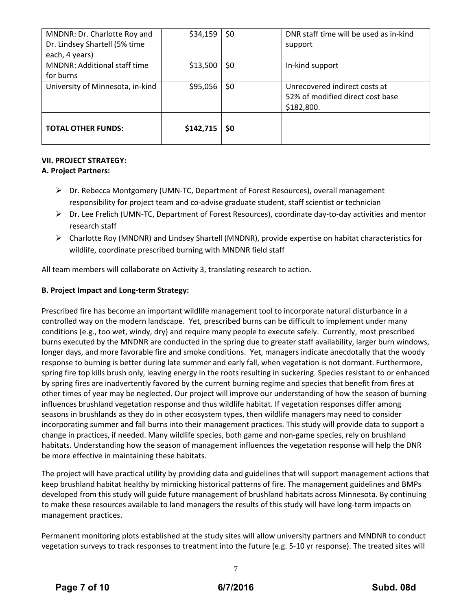| MNDNR: Dr. Charlotte Roy and        | \$34,159  | \$0 | DNR staff time will be used as in-kind |
|-------------------------------------|-----------|-----|----------------------------------------|
| Dr. Lindsey Shartell (5% time       |           |     | support                                |
| each, 4 years)                      |           |     |                                        |
| <b>MNDNR: Additional staff time</b> | \$13,500  | \$0 | In-kind support                        |
| for burns                           |           |     |                                        |
| University of Minnesota, in-kind    | \$95,056  | \$0 | Unrecovered indirect costs at          |
|                                     |           |     | 52% of modified direct cost base       |
|                                     |           |     | \$182,800.                             |
|                                     |           |     |                                        |
| <b>TOTAL OTHER FUNDS:</b>           | \$142,715 | \$0 |                                        |
|                                     |           |     |                                        |

# **VII. PROJECT STRATEGY:**

# **A. Project Partners:**

- Dr. Rebecca Montgomery (UMN‐TC, Department of Forest Resources), overall management responsibility for project team and co-advise graduate student, staff scientist or technician
- Dr. Lee Frelich (UMN‐TC, Department of Forest Resources), coordinate day‐to‐day activities and mentor research staff
- $\triangleright$  Charlotte Roy (MNDNR) and Lindsey Shartell (MNDNR), provide expertise on habitat characteristics for wildlife, coordinate prescribed burning with MNDNR field staff

All team members will collaborate on Activity 3, translating research to action.

# **B. Project Impact and Long‐term Strategy:**

Prescribed fire has become an important wildlife management tool to incorporate natural disturbance in a controlled way on the modern landscape. Yet, prescribed burns can be difficult to implement under many conditions (e.g., too wet, windy, dry) and require many people to execute safely. Currently, most prescribed burns executed by the MNDNR are conducted in the spring due to greater staff availability, larger burn windows, longer days, and more favorable fire and smoke conditions. Yet, managers indicate anecdotally that the woody response to burning is better during late summer and early fall, when vegetation is not dormant. Furthermore, spring fire top kills brush only, leaving energy in the roots resulting in suckering. Species resistant to or enhanced by spring fires are inadvertently favored by the current burning regime and species that benefit from fires at other times of year may be neglected. Our project will improve our understanding of how the season of burning influences brushland vegetation response and thus wildlife habitat. If vegetation responses differ among seasons in brushlands as they do in other ecosystem types, then wildlife managers may need to consider incorporating summer and fall burns into their management practices. This study will provide data to support a change in practices, if needed. Many wildlife species, both game and non‐game species, rely on brushland habitats. Understanding how the season of management influences the vegetation response will help the DNR be more effective in maintaining these habitats.

The project will have practical utility by providing data and guidelines that will support management actions that keep brushland habitat healthy by mimicking historical patterns of fire. The management guidelines and BMPs developed from this study will guide future management of brushland habitats across Minnesota. By continuing to make these resources available to land managers the results of this study will have long-term impacts on management practices.

Permanent monitoring plots established at the study sites will allow university partners and MNDNR to conduct vegetation surveys to track responses to treatment into the future (e.g. 5‐10 yr response). The treated sites will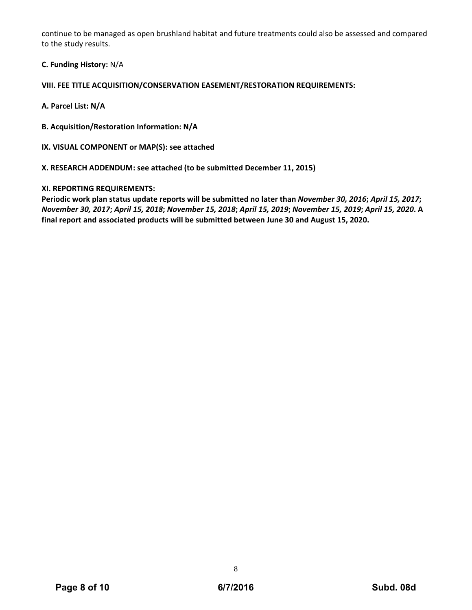continue to be managed as open brushland habitat and future treatments could also be assessed and compared to the study results.

**C. Funding History:** N/A

**VIII. FEE TITLE ACQUISITION/CONSERVATION EASEMENT/RESTORATION REQUIREMENTS:**

**A. Parcel List: N/A**

**B. Acquisition/Restoration Information: N/A**

**IX. VISUAL COMPONENT or MAP(S): see attached**

**X. RESEARCH ADDENDUM: see attached (to be submitted December 11, 2015)**

### **XI. REPORTING REQUIREMENTS:**

Periodic work plan status update reports will be submitted no later than November 30, 2016; April 15, 2017; November 30, 2017; April 15, 2018; November 15, 2018; April 15, 2019; November 15, 2019; April 15, 2020. A **final report and associated products will be submitted between June 30 and August 15, 2020.**

8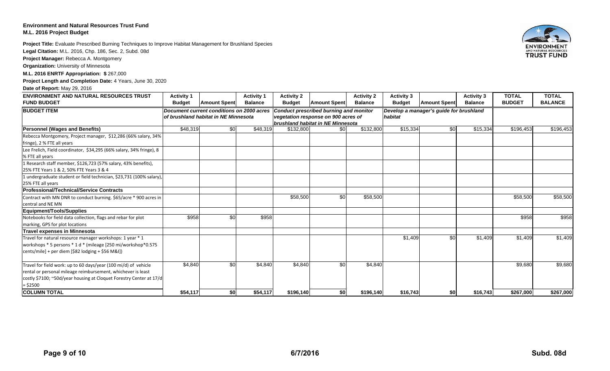### **Environment and Natural Resources Trust FundM.L. 2016 Project Budget**

**Project Title:** Evaluate Prescribed Burning Techniques to Improve Habitat Management for Brushland Species

**Legal Citation:** M.L. 2016, Chp. 186, Sec. 2, Subd. 08d

**Project Manager:** Rebecca A. Montgomery

**Organization:** University of Minnesota

**M.L. 2016 ENRTF Appropriation: \$** 267,000

**Project Length and Completion Date:** 4 Years, June 30, 2020

**Date of Report:** May 29, 2016

| <b>ENVIRONMENT AND NATURAL RESOURCES TRUST</b>                                                                                                                                                                       | <b>Activity 1</b> |                                                                                   | <b>Activity 1</b> | <b>Activity 2</b>                                                                                                         |                     | <b>Activity 2</b> | <b>Activity 3</b>                                  |                     | <b>Activity 3</b> | <b>TOTAL</b>  | <b>TOTAL</b>   |
|----------------------------------------------------------------------------------------------------------------------------------------------------------------------------------------------------------------------|-------------------|-----------------------------------------------------------------------------------|-------------------|---------------------------------------------------------------------------------------------------------------------------|---------------------|-------------------|----------------------------------------------------|---------------------|-------------------|---------------|----------------|
| <b>FUND BUDGET</b>                                                                                                                                                                                                   | <b>Budget</b>     | <b>Amount Spent</b>                                                               | <b>Balance</b>    | <b>Budget</b>                                                                                                             | <b>Amount Spent</b> | <b>Balance</b>    | <b>Budget</b>                                      | <b>Amount Spent</b> | <b>Balance</b>    | <b>BUDGET</b> | <b>BALANCE</b> |
| <b>BUDGET ITEM</b>                                                                                                                                                                                                   |                   | Document current conditions on 2000 acres<br>of brushland habitat in NE Minnesota |                   | <b>Conduct prescribed burning and monitor</b><br>vegetation response on 900 acres of<br>brushland habitat in NE Minnesota |                     |                   | Develop a manager's guide for brushland<br>habitat |                     |                   |               |                |
| <b>Personnel (Wages and Benefits)</b>                                                                                                                                                                                | \$48,319          | \$0                                                                               | \$48,319          | \$132,800                                                                                                                 | \$0                 | \$132,800         | \$15,334                                           | \$0                 | \$15,334          | \$196,453     | \$196,453      |
| Rebecca Montgomery, Project manager, \$12,286 (66% salary, 34%                                                                                                                                                       |                   |                                                                                   |                   |                                                                                                                           |                     |                   |                                                    |                     |                   |               |                |
| fringe), 2 % FTE all years                                                                                                                                                                                           |                   |                                                                                   |                   |                                                                                                                           |                     |                   |                                                    |                     |                   |               |                |
| Lee Frelich, Field coordinator, \$34,295 (66% salary, 34% fringe), 8<br>% FTE all years                                                                                                                              |                   |                                                                                   |                   |                                                                                                                           |                     |                   |                                                    |                     |                   |               |                |
| 1 Research staff member, \$126,723 (57% salary, 43% benefits),<br>25% FTE Years 1 & 2, 50% FTE Years 3 & 4                                                                                                           |                   |                                                                                   |                   |                                                                                                                           |                     |                   |                                                    |                     |                   |               |                |
| 1 undergraduate student or field technician, \$23,731 (100% salary),<br>25% FTE all years                                                                                                                            |                   |                                                                                   |                   |                                                                                                                           |                     |                   |                                                    |                     |                   |               |                |
| <b>Professional/Technical/Service Contracts</b>                                                                                                                                                                      |                   |                                                                                   |                   |                                                                                                                           |                     |                   |                                                    |                     |                   |               |                |
| Contract with MN DNR to conduct burning. \$65/acre * 900 acres in                                                                                                                                                    |                   |                                                                                   |                   | \$58,500                                                                                                                  | \$0                 | \$58,500          |                                                    |                     |                   | \$58,500      | \$58,500       |
| central and NE MN                                                                                                                                                                                                    |                   |                                                                                   |                   |                                                                                                                           |                     |                   |                                                    |                     |                   |               |                |
| Equipment/Tools/Supplies                                                                                                                                                                                             |                   |                                                                                   |                   |                                                                                                                           |                     |                   |                                                    |                     |                   |               |                |
| Notebooks for field data collection, flags and rebar for plot<br>marking, GPS for plot locations                                                                                                                     | \$958             | \$0                                                                               | \$958             |                                                                                                                           |                     |                   |                                                    |                     |                   | \$958         | \$958          |
| <b>Travel expenses in Minnesota</b>                                                                                                                                                                                  |                   |                                                                                   |                   |                                                                                                                           |                     |                   |                                                    |                     |                   |               |                |
| Travel for natural resource manager workshops: 1 year * 1<br>workshops * 5 persons * 1 d * (mileage [250 mi/workshop*0.575<br>$ cents/mile $ + per diem [\$82 lodging + \$56 M&I])                                   |                   |                                                                                   |                   |                                                                                                                           |                     |                   | \$1,409                                            | \$0                 | \$1,409           | \$1,409       | \$1,409        |
| Travel for field work: up to 60 days/year (100 mi/d) of vehicle<br>rental or personal mileage reimbursement, whichever is least<br>costly \$7100; ~50d/year housing at Cloquet Forestry Center at 17/d<br>$=$ \$2500 | \$4,840           | \$0                                                                               | \$4,840           | \$4,840                                                                                                                   | \$0                 | \$4,840           |                                                    |                     |                   | \$9,680       | \$9,680        |
| <b>COLUMN TOTAL</b>                                                                                                                                                                                                  | \$54,117          | \$0                                                                               | \$54,117          | \$196,140                                                                                                                 | \$0                 | \$196,140         | \$16,743                                           | \$0                 | \$16,743          | \$267.000     | \$267,000      |